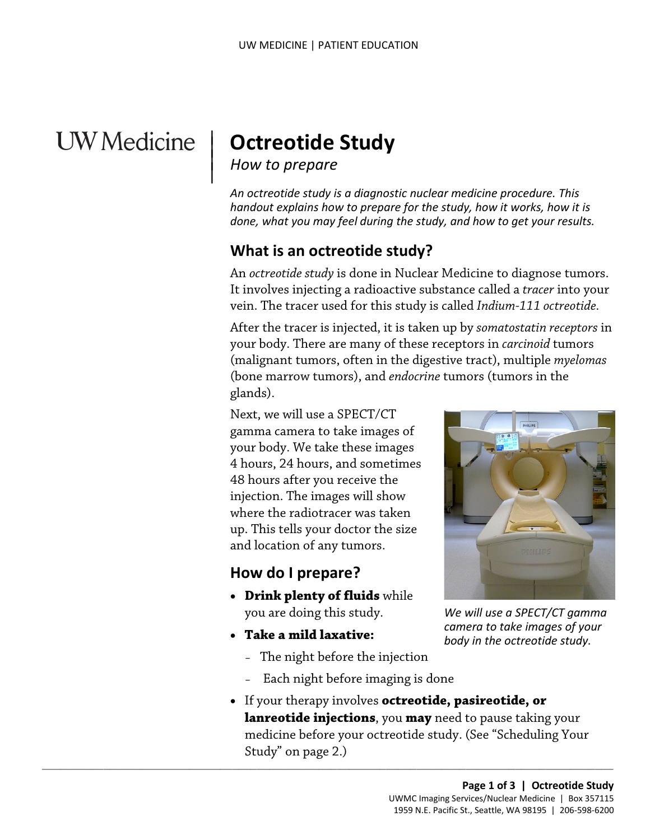## **UW** Medicine

# | **Octreotide Study**

### *How to prepare*

 $\vert$  $\parallel$ 

> *An octreotide study is a diagnostic nuclear medicine procedure. This handout explains how to prepare for the study, how it works, how it is done, what you may feel during the study, and how to get your results.*

## **What is an octreotide study?**

 It involves injecting a radioactive substance called a *tracer* into your vein. The tracer used for this study is called *Indium-111 octreotide.* An *octreotide study* is done in Nuclear Medicine to diagnose tumors.

 After the tracer is injected, it is taken up by *somatostatin receptors* in your body. There are many of these receptors in *carcinoid* tumors (malignant tumors, often in the digestive tract), multiple *myelomas*  (bone marrow tumors), and *endocrine* tumors (tumors in the glands).

 Next, we will use a SPECT/CT gamma camera to take images of up. This tells your doctor the size and location of any tumors. your body. We take these images 4 hours, 24 hours, and sometimes 48 hours after you receive the injection. The images will show where the radiotracer was taken

## **How do I prepare?**

- you are doing this study. • **Drink plenty of fluids** while
- **Take a mild laxative:** 
	- The night before the injection

 $\_$  ,  $\_$  ,  $\_$  ,  $\_$  ,  $\_$  ,  $\_$  ,  $\_$  ,  $\_$  ,  $\_$  ,  $\_$  ,  $\_$  ,  $\_$  ,  $\_$  ,  $\_$  ,  $\_$  ,  $\_$  ,  $\_$  ,  $\_$  ,  $\_$  ,  $\_$  ,  $\_$  ,  $\_$  ,  $\_$  ,  $\_$  ,  $\_$  ,  $\_$  ,  $\_$  ,  $\_$  ,  $\_$  ,  $\_$  ,  $\_$  ,  $\_$  ,  $\_$  ,  $\_$  ,  $\_$  ,  $\_$  ,  $\_$  ,

- Each night before imaging is done
- If your therapy involves **octreotide, pasireotide, or lanreotide injections**, you **may** need to pause taking your medicine before your octreotide study. (See "Scheduling Your Study" on page 2.)



*We will use a SPECT/CT gamma camera to take images of your body in the octreotide study.*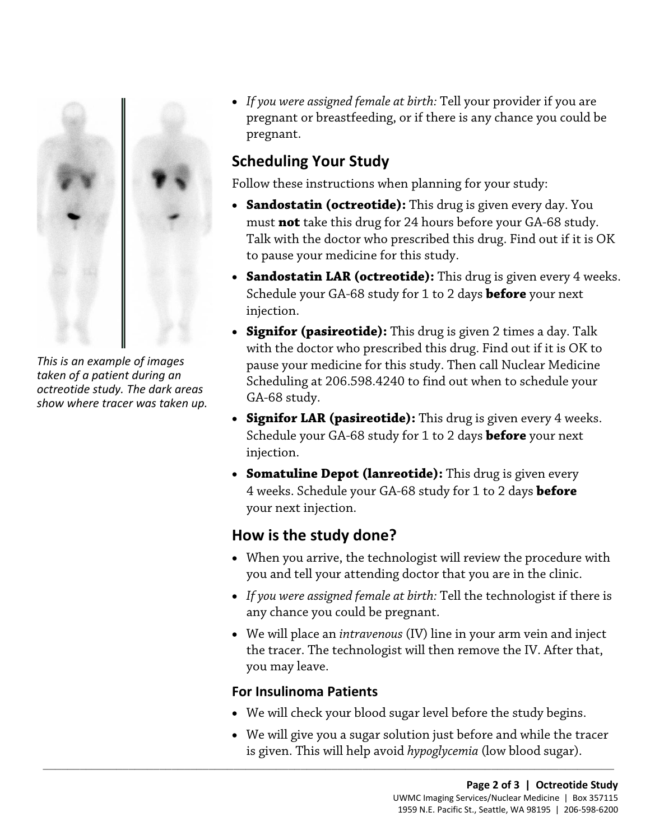

*This is an example of images taken of a patient during an octreotide study. The dark areas show where tracer was taken up.*  • *If you were assigned female at birth:* Tell your provider if you are pregnant or breastfeeding, or if there is any chance you could be pregnant.

## **Scheduling Your Study**

Follow these instructions when planning for your study:

- **Sandostatin (octreotide):** This drug is given every day. You must **not** take this drug for 24 hours before your GA-68 study. Talk with the doctor who prescribed this drug. Find out if it is OK to pause your medicine for this study.
- **Sandostatin LAR (octreotide):** This drug is given every 4 weeks. Schedule your GA-68 study for 1 to 2 days **before** your next injection.
- **Signifor (pasireotide):** This drug is given 2 times a day. Talk with the doctor who prescribed this drug. Find out if it is OK to pause your medicine for this study. Then call Nuclear Medicine Scheduling at 206.598.4240 to find out when to schedule your GA-68 study.
- **Signifor LAR (pasireotide):** This drug is given every 4 weeks. Schedule your GA-68 study for 1 to 2 days **before** your next injection.
- **Somatuline Depot (lanreotide):** This drug is given every 4 weeks. Schedule your GA-68 study for 1 to 2 days **before**  your next injection.

## **How is the study done?**

- When you arrive, the technologist will review the procedure with you and tell your attending doctor that you are in the clinic.
- • *If you were assigned female at birth:* Tell the technologist if there is any chance you could be pregnant.
- • We will place an *intravenous* (IV) line in your arm vein and inject the tracer. The technologist will then remove the IV. After that, you may leave.

### **For Insulinoma Patients**

 $\_$  ,  $\_$  ,  $\_$  ,  $\_$  ,  $\_$  ,  $\_$  ,  $\_$  ,  $\_$  ,  $\_$  ,  $\_$  ,  $\_$  ,  $\_$  ,  $\_$  ,  $\_$  ,  $\_$  ,  $\_$  ,  $\_$  ,  $\_$  ,  $\_$  ,  $\_$  ,  $\_$  ,  $\_$  ,  $\_$  ,  $\_$  ,  $\_$  ,  $\_$  ,  $\_$  ,  $\_$  ,  $\_$  ,  $\_$  ,  $\_$  ,  $\_$  ,  $\_$  ,  $\_$  ,  $\_$  ,  $\_$  ,  $\_$  ,

- We will check your blood sugar level before the study begins.
- is given. This will help avoid *hypoglycemia* (low blood sugar). • We will give you a sugar solution just before and while the tracer